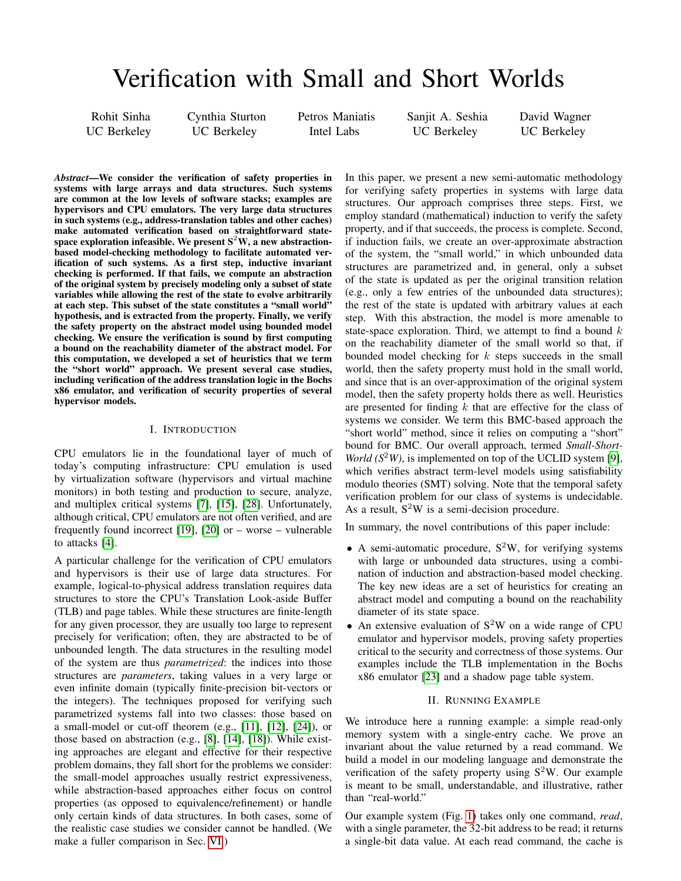# Verification with Small and Short Worlds

Rohit Sinha UC Berkeley Cynthia Sturton UC Berkeley

Petros Maniatis Intel Labs

Sanjit A. Seshia UC Berkeley

David Wagner UC Berkeley

*Abstract*—We consider the verification of safety properties in systems with large arrays and data structures. Such systems are common at the low levels of software stacks; examples are hypervisors and CPU emulators. The very large data structures in such systems (e.g., address-translation tables and other caches) make automated verification based on straightforward statespace exploration infeasible. We present  $S^2W$ , a new abstractionbased model-checking methodology to facilitate automated verification of such systems. As a first step, inductive invariant checking is performed. If that fails, we compute an abstraction of the original system by precisely modeling only a subset of state variables while allowing the rest of the state to evolve arbitrarily at each step. This subset of the state constitutes a "small world" hypothesis, and is extracted from the property. Finally, we verify the safety property on the abstract model using bounded model checking. We ensure the verification is sound by first computing a bound on the reachability diameter of the abstract model. For this computation, we developed a set of heuristics that we term the "short world" approach. We present several case studies, including verification of the address translation logic in the Bochs x86 emulator, and verification of security properties of several hypervisor models.

## I. INTRODUCTION

CPU emulators lie in the foundational layer of much of today's computing infrastructure: CPU emulation is used by virtualization software (hypervisors and virtual machine monitors) in both testing and production to secure, analyze, and multiplex critical systems [\[7\]](#page-9-0), [\[15\]](#page-9-1), [\[28\]](#page-9-2). Unfortunately, although critical, CPU emulators are not often verified, and are frequently found incorrect [\[19\]](#page-9-3), [\[20\]](#page-9-4) or – worse – vulnerable to attacks [\[4\]](#page-9-5).

A particular challenge for the verification of CPU emulators and hypervisors is their use of large data structures. For example, logical-to-physical address translation requires data structures to store the CPU's Translation Look-aside Buffer (TLB) and page tables. While these structures are finite-length for any given processor, they are usually too large to represent precisely for verification; often, they are abstracted to be of unbounded length. The data structures in the resulting model of the system are thus *parametrized*: the indices into those structures are *parameters*, taking values in a very large or even infinite domain (typically finite-precision bit-vectors or the integers). The techniques proposed for verifying such parametrized systems fall into two classes: those based on a small-model or cut-off theorem (e.g., [\[11\]](#page-9-6), [\[12\]](#page-9-7), [\[24\]](#page-9-8)), or those based on abstraction (e.g., [\[8\]](#page-9-9), [\[14\]](#page-9-10), [\[18\]](#page-9-11)). While existing approaches are elegant and effective for their respective problem domains, they fall short for the problems we consider: the small-model approaches usually restrict expressiveness, while abstraction-based approaches either focus on control properties (as opposed to equivalence/refinement) or handle only certain kinds of data structures. In both cases, some of the realistic case studies we consider cannot be handled. (We make a fuller comparison in Sec. [VI.](#page-8-0))

In this paper, we present a new semi-automatic methodology for verifying safety properties in systems with large data structures. Our approach comprises three steps. First, we employ standard (mathematical) induction to verify the safety property, and if that succeeds, the process is complete. Second, if induction fails, we create an over-approximate abstraction of the system, the "small world," in which unbounded data structures are parametrized and, in general, only a subset of the state is updated as per the original transition relation (e.g., only a few entries of the unbounded data structures); the rest of the state is updated with arbitrary values at each step. With this abstraction, the model is more amenable to state-space exploration. Third, we attempt to find a bound  $k$ on the reachability diameter of the small world so that, if bounded model checking for  $k$  steps succeeds in the small world, then the safety property must hold in the small world, and since that is an over-approximation of the original system model, then the safety property holds there as well. Heuristics are presented for finding  $k$  that are effective for the class of systems we consider. We term this BMC-based approach the "short world" method, since it relies on computing a "short" bound for BMC. Our overall approach, termed *Small-Short-World* ( $S^2W$ ), is implemented on top of the UCLID system [\[9\]](#page-9-12), which verifies abstract term-level models using satisfiability modulo theories (SMT) solving. Note that the temporal safety verification problem for our class of systems is undecidable. As a result,  $S^2W$  is a semi-decision procedure.

In summary, the novel contributions of this paper include:

- A semi-automatic procedure,  $S^2W$ , for verifying systems with large or unbounded data structures, using a combination of induction and abstraction-based model checking. The key new ideas are a set of heuristics for creating an abstract model and computing a bound on the reachability diameter of its state space.
- An extensive evaluation of  $S^2W$  on a wide range of CPU emulator and hypervisor models, proving safety properties critical to the security and correctness of those systems. Our examples include the TLB implementation in the Bochs x86 emulator [\[23\]](#page-9-13) and a shadow page table system.

#### II. RUNNING EXAMPLE

<span id="page-0-0"></span>We introduce here a running example: a simple read-only memory system with a single-entry cache. We prove an invariant about the value returned by a read command. We build a model in our modeling language and demonstrate the verification of the safety property using  $S^2W$ . Our example is meant to be small, understandable, and illustrative, rather than "real-world."

Our example system (Fig. [1\)](#page-1-0) takes only one command, *read*, with a single parameter, the 32-bit address to be read; it returns a single-bit data value. At each read command, the cache is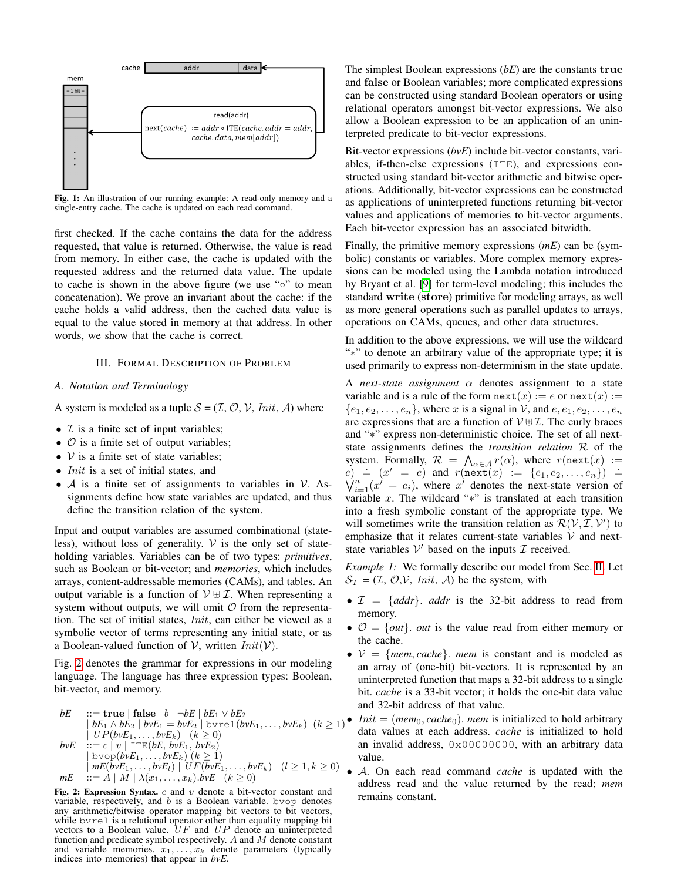<span id="page-1-0"></span>

Fig. 1: An illustration of our running example: A read-only memory and a single-entry cache. The cache is updated on each read command.

first checked. If the cache contains the data for the address requested, that value is returned. Otherwise, the value is read from memory. In either case, the cache is updated with the requested address and the returned data value. The update to cache is shown in the above figure (we use "◦" to mean concatenation). We prove an invariant about the cache: if the cache holds a valid address, then the cached data value is equal to the value stored in memory at that address. In other words, we show that the cache is correct.

#### III. FORMAL DESCRIPTION OF PROBLEM

#### <span id="page-1-2"></span>*A. Notation and Terminology*

A system is modeled as a tuple  $S = (\mathcal{I}, \mathcal{O}, \mathcal{V}, Init, \mathcal{A})$  where

- $\mathcal I$  is a finite set of input variables;
- $\circ$  is a finite set of output variables;
- $V$  is a finite set of state variables;
- *Init* is a set of initial states, and
- $\mathcal A$  is a finite set of assignments to variables in  $\mathcal V$ . Assignments define how state variables are updated, and thus define the transition relation of the system.

Input and output variables are assumed combinational (stateless), without loss of generality.  $V$  is the only set of stateholding variables. Variables can be of two types: *primitives*, such as Boolean or bit-vector; and *memories*, which includes arrays, content-addressable memories (CAMs), and tables. An output variable is a function of  $V \oplus I$ . When representing a system without outputs, we will omit  $\mathcal O$  from the representation. The set of initial states, Init, can either be viewed as a symbolic vector of terms representing any initial state, or as a Boolean-valued function of V, written  $Init(V)$ .

Fig. [2](#page-1-1) denotes the grammar for expressions in our modeling language. The language has three expression types: Boolean, bit-vector, and memory.

<span id="page-1-1"></span>
$$
bE \n\begin{aligned}\n\text{E:} &= \text{true} \mid \text{false} \mid b \mid \neg bE \mid bE_1 \lor bE_2 \\
& \mid bE_1 \land bE_2 \mid b\nu E_1 = b\nu E_2 \mid b\nu \text{rel}(b\nu E_1, \dots, b\nu E_k) \quad (k \ge 1) \\
& \mid UP(b\nu E_1, \dots, b\nu E_k) \quad (k \ge 0) \\
& \text{b}\nuE \n\begin{aligned}\n& \text{E:} &= c \mid v \mid \text{ITE}(bE, b\nu E_1, b\nu E_2) \\
& \mid \text{b}\nu \text{op}(b\nu E_1, \dots, b\nu E_k) \quad (k \ge 1) \\
& \mid mE(b\nu E_1, \dots, b\nu E_k) \mid UF(b\nu E_1, \dots, b\nu E_k) \quad (l \ge 1, k \ge 0) \\
& \text{m}E \n\end{aligned}\n\end{aligned}
$$

Fig. 2: Expression Syntax.  $c$  and  $v$  denote a bit-vector constant and variable, respectively, and  $b$  is a Boolean variable. bvop denotes any arithmetic/bitwise operator mapping bit vectors to bit vectors, while bvrel is a relational operator other than equality mapping bit vectors to a Boolean value.  $UF$  and  $UP$  denote an uninterpreted function and predicate symbol respectively. A and M denote constant and variable memories.  $x_1, \ldots, x_k$  denote parameters (typically indices into memories) that appear in *bvE*.

The simplest Boolean expressions (*bE*) are the constants true and false or Boolean variables; more complicated expressions can be constructed using standard Boolean operators or using relational operators amongst bit-vector expressions. We also allow a Boolean expression to be an application of an uninterpreted predicate to bit-vector expressions.

Bit-vector expressions (*bvE*) include bit-vector constants, variables, if-then-else expressions (ITE), and expressions constructed using standard bit-vector arithmetic and bitwise operations. Additionally, bit-vector expressions can be constructed as applications of uninterpreted functions returning bit-vector values and applications of memories to bit-vector arguments. Each bit-vector expression has an associated bitwidth.

Finally, the primitive memory expressions (*mE*) can be (symbolic) constants or variables. More complex memory expressions can be modeled using the Lambda notation introduced by Bryant et al. [\[9\]](#page-9-12) for term-level modeling; this includes the standard write (store) primitive for modeling arrays, as well as more general operations such as parallel updates to arrays, operations on CAMs, queues, and other data structures.

In addition to the above expressions, we will use the wildcard "∗" to denote an arbitrary value of the appropriate type; it is used primarily to express non-determinism in the state update.

A *next-state assignment*  $\alpha$  denotes assignment to a state variable and is a rule of the form  $next(x) := e$  or  $next(x) :=$  ${e_1, e_2, \ldots, e_n}$ , where x is a signal in V, and  $e, e_1, e_2, \ldots, e_n$ are expressions that are a function of  $V \oplus \mathcal{I}$ . The curly braces and "∗" express non-deterministic choice. The set of all nextstate assignments defines the *transition relation* R of the system. Formally,  $\mathcal{R} = \bigwedge_{\alpha \in \mathcal{A}} r(\alpha)$ , where  $r(\text{next}(x)) :=$ by such that  $\begin{array}{lll} \text{arrows} & \text{arrows} & \text{arrows} \\ \text{if } e \text{ is } (x' = e) \text{ and } r(\text{next}(x) := \{e_1, e_2, \ldots, e_n\}) = \\ \text{if } \forall_{i=1}^n (x' = e_i), \text{ where } x' \text{ denotes the next-state version of } \end{array}$ variable  $x$ . The wildcard "\*" is translated at each transition into a fresh symbolic constant of the appropriate type. We will sometimes write the transition relation as  $\mathcal{R}(\mathcal{V}, \mathcal{I}, \mathcal{V}')$  to emphasize that it relates current-state variables  $V$  and nextstate variables  $V'$  based on the inputs  $\mathcal I$  received.

*Example 1:* We formally describe our model from Sec. [II.](#page-0-0) Let  $S_T = (I, O, V, Init, A)$  be the system, with

- $\mathcal{I} = \{addr\}$ . *addr* is the 32-bit address to read from memory.
- $\mathcal{O} = \{out\}$ . *out* is the value read from either memory or the cache.
- $V = \{mem, cache\}$ . *mem* is constant and is modeled as an array of (one-bit) bit-vectors. It is represented by an uninterpreted function that maps a 32-bit address to a single bit. *cache* is a 33-bit vector; it holds the one-bit data value and 32-bit address of that value.
- *Init* =  $(mem_0, cache_0)$ . *mem* is initialized to hold arbitrary data values at each address. *cache* is initialized to hold an invalid address, 0x00000000, with an arbitrary data value.
- A. On each read command *cache* is updated with the address read and the value returned by the read; *mem* remains constant.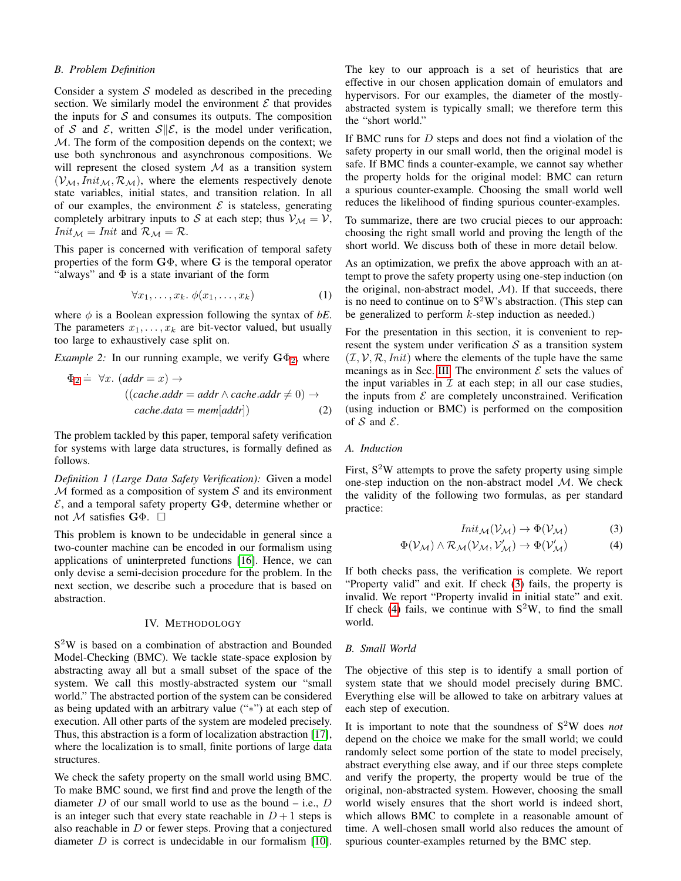#### *B. Problem Definition*

Consider a system  $S$  modeled as described in the preceding section. We similarly model the environment  $\mathcal E$  that provides the inputs for  $S$  and consumes its outputs. The composition of S and E, written  $S||\mathcal{E}$ , is the model under verification, M. The form of the composition depends on the context; we use both synchronous and asynchronous compositions. We will represent the closed system  $M$  as a transition system  $(V_{\mathcal{M}},Init_{\mathcal{M}}, \mathcal{R}_{\mathcal{M}})$ , where the elements respectively denote state variables, initial states, and transition relation. In all of our examples, the environment  $\mathcal E$  is stateless, generating completely arbitrary inputs to S at each step; thus  $V_M = V$ ,  $Init_{\mathcal{M}} =Init$  and  $\mathcal{R}_{\mathcal{M}} = \mathcal{R}$ .

This paper is concerned with verification of temporal safety properties of the form  $G\Phi$ , where G is the temporal operator "always" and  $\Phi$  is a state invariant of the form

$$
\forall x_1, \dots, x_k. \ \phi(x_1, \dots, x_k) \tag{1}
$$

where  $\phi$  is a Boolean expression following the syntax of *bE*. The parameters  $x_1, \ldots, x_k$  are bit-vector valued, but usually too large to exhaustively case split on.

*Example [2](#page-2-0):* In our running example, we verify  $\mathbf{G}\Phi_2$ , where

$$
\Phi_2 \doteq \forall x. \ (addr = x) \rightarrow
$$
  

$$
((cache.add = addr \land cache.addr \neq 0) \rightarrow
$$
  

$$
cache.data = mem[addr])
$$
 (2)

The problem tackled by this paper, temporal safety verification for systems with large data structures, is formally defined as follows.

*Definition 1 (Large Data Safety Verification):* Given a model  $M$  formed as a composition of system  $S$  and its environment  $\mathcal{E}$ , and a temporal safety property  $\mathbf{G}\Phi$ , determine whether or not M satisfies  $\mathbf{G}\Phi$ .  $\square$ 

This problem is known to be undecidable in general since a two-counter machine can be encoded in our formalism using applications of uninterpreted functions [\[16\]](#page-9-14). Hence, we can only devise a semi-decision procedure for the problem. In the next section, we describe such a procedure that is based on abstraction.

#### IV. METHODOLOGY

S <sup>2</sup>W is based on a combination of abstraction and Bounded Model-Checking (BMC). We tackle state-space explosion by abstracting away all but a small subset of the space of the system. We call this mostly-abstracted system our "small world." The abstracted portion of the system can be considered as being updated with an arbitrary value ("∗") at each step of execution. All other parts of the system are modeled precisely. Thus, this abstraction is a form of localization abstraction [\[17\]](#page-9-15), where the localization is to small, finite portions of large data structures.

We check the safety property on the small world using BMC. To make BMC sound, we first find and prove the length of the diameter  $D$  of our small world to use as the bound – i.e.,  $D$ is an integer such that every state reachable in  $D+1$  steps is also reachable in  $D$  or fewer steps. Proving that a conjectured diameter  $D$  is correct is undecidable in our formalism [\[10\]](#page-9-16). The key to our approach is a set of heuristics that are effective in our chosen application domain of emulators and hypervisors. For our examples, the diameter of the mostlyabstracted system is typically small; we therefore term this the "short world."

If BMC runs for  $D$  steps and does not find a violation of the safety property in our small world, then the original model is safe. If BMC finds a counter-example, we cannot say whether the property holds for the original model: BMC can return a spurious counter-example. Choosing the small world well reduces the likelihood of finding spurious counter-examples.

To summarize, there are two crucial pieces to our approach: choosing the right small world and proving the length of the short world. We discuss both of these in more detail below.

As an optimization, we prefix the above approach with an attempt to prove the safety property using one-step induction (on the original, non-abstract model,  $M$ ). If that succeeds, there is no need to continue on to  $S^2W$ 's abstraction. (This step can be generalized to perform  $k$ -step induction as needed.)

For the presentation in this section, it is convenient to represent the system under verification  $S$  as a transition system  $(\mathcal{I}, \mathcal{V}, \mathcal{R}, \text{Init})$  where the elements of the tuple have the same meanings as in Sec. [III.](#page-1-2) The environment  $\mathcal E$  sets the values of the input variables in  $\mathcal I$  at each step; in all our case studies, the inputs from  $\mathcal E$  are completely unconstrained. Verification (using induction or BMC) is performed on the composition of  $S$  and  $E$ .

# <span id="page-2-0"></span>*A. Induction*

First,  $S^2W$  attempts to prove the safety property using simple one-step induction on the non-abstract model M. We check the validity of the following two formulas, as per standard practice:

<span id="page-2-2"></span><span id="page-2-1"></span>
$$
Init_{\mathcal{M}}(\mathcal{V}_{\mathcal{M}}) \to \Phi(\mathcal{V}_{\mathcal{M}})
$$
 (3)

$$
\Phi(\mathcal{V}_{\mathcal{M}}) \wedge \mathcal{R}_{\mathcal{M}}(\mathcal{V}_{\mathcal{M}}, \mathcal{V}'_{\mathcal{M}}) \rightarrow \Phi(\mathcal{V}'_{\mathcal{M}})
$$
(4)

If both checks pass, the verification is complete. We report "Property valid" and exit. If check [\(3\)](#page-2-1) fails, the property is invalid. We report "Property invalid in initial state" and exit. If check [\(4\)](#page-2-2) fails, we continue with  $S^2W$ , to find the small world.

#### <span id="page-2-3"></span>*B. Small World*

The objective of this step is to identify a small portion of system state that we should model precisely during BMC. Everything else will be allowed to take on arbitrary values at each step of execution.

It is important to note that the soundness of S<sup>2</sup>W does *not* depend on the choice we make for the small world; we could randomly select some portion of the state to model precisely, abstract everything else away, and if our three steps complete and verify the property, the property would be true of the original, non-abstracted system. However, choosing the small world wisely ensures that the short world is indeed short, which allows BMC to complete in a reasonable amount of time. A well-chosen small world also reduces the amount of spurious counter-examples returned by the BMC step.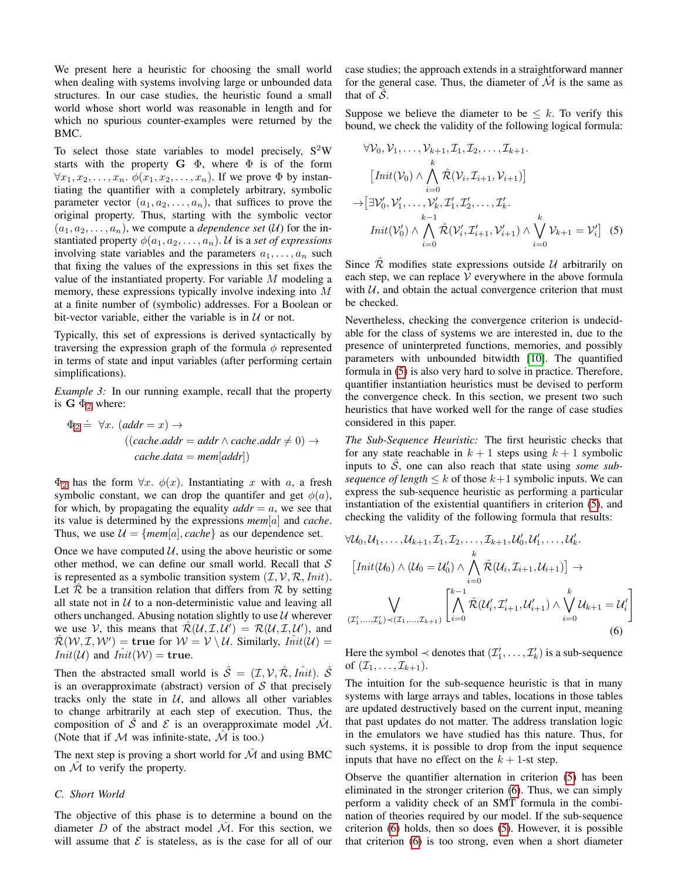We present here a heuristic for choosing the small world when dealing with systems involving large or unbounded data structures. In our case studies, the heuristic found a small world whose short world was reasonable in length and for which no spurious counter-examples were returned by the BMC.

To select those state variables to model precisely,  $S^2W$ starts with the property  $G \Phi$ , where  $\Phi$  is of the form  $\forall x_1, x_2, \ldots, x_n$ .  $\phi(x_1, x_2, \ldots, x_n)$ . If we prove  $\Phi$  by instantiating the quantifier with a completely arbitrary, symbolic parameter vector  $(a_1, a_2, \ldots, a_n)$ , that suffices to prove the original property. Thus, starting with the symbolic vector  $(a_1, a_2, \ldots, a_n)$ , we compute a *dependence set*  $(U)$  for the instantiated property  $\phi(a_1, a_2, \ldots, a_n)$ . U is a *set of expressions* involving state variables and the parameters  $a_1, \ldots, a_n$  such that fixing the values of the expressions in this set fixes the value of the instantiated property. For variable M modeling a memory, these expressions typically involve indexing into M at a finite number of (symbolic) addresses. For a Boolean or bit-vector variable, either the variable is in  $U$  or not.

Typically, this set of expressions is derived syntactically by traversing the expression graph of the formula  $\phi$  represented in terms of state and input variables (after performing certain simplifications).

*Example 3:* In our running example, recall that the property is  $G \Phi_2$  $G \Phi_2$  where:

$$
\Phi_2 \doteq \forall x. \ (addr = x) \rightarrow
$$
  

$$
((cache.add = addr \land cache.add = x)) \rightarrow
$$
  

$$
cache.data = mem[addr])
$$

 $\Phi_2$  $\Phi_2$  has the form  $\forall x$ .  $\phi(x)$ . Instantiating x with a, a fresh symbolic constant, we can drop the quantifer and get  $\phi(a)$ , for which, by propagating the equality  $\alpha d\alpha = a$ , we see that its value is determined by the expressions *mem*[a] and *cache*. Thus, we use  $\mathcal{U} = \{mem[a], cache\}$  as our dependence set.

Once we have computed  $U$ , using the above heuristic or some other method, we can define our small world. Recall that  $S$ is represented as a symbolic transition system  $(\mathcal{I}, \mathcal{V}, \mathcal{R}, \textit{Init})$ . Let  $\overline{\mathcal{R}}$  be a transition relation that differs from  $\mathcal R$  by setting all state not in  $U$  to a non-deterministic value and leaving all others unchanged. Abusing notation slightly to use  $U$  wherever we use V, this means that  $\mathcal{R}(\mathcal{U}, \mathcal{I}, \mathcal{U}') = \mathcal{R}(\mathcal{U}, \mathcal{I}, \mathcal{U}')$ , and  $\hat{\mathcal{R}}(\mathcal{W},\mathcal{I},\mathcal{W}') = \textbf{true} \text{ for } \mathcal{W} = \mathcal{V} \setminus \mathcal{U}. \text{ Similarly, } \hat{Init(\mathcal{U})} =$  $Init(\mathcal{U})$  and  $Init(\mathcal{W}) = \text{true}.$ 

Then the abstracted small world is  $\hat{\mathcal{S}} = (\mathcal{I}, \mathcal{V}, \hat{\mathcal{R}}, \hat{Init})$ .  $\hat{\mathcal{S}}$ is an overapproximate (abstract) version of  $S$  that precisely tracks only the state in  $U$ , and allows all other variables to change arbitrarily at each step of execution. Thus, the composition of  $\overline{S}$  and  $\overline{E}$  is an overapproximate model  $\overline{M}$ . (Note that if  $M$  was infinite-state,  $\hat{M}$  is too.)

The next step is proving a short world for  $\hat{\mathcal{M}}$  and using BMC on  $\mathcal M$  to verify the property.

#### *C. Short World*

The objective of this phase is to determine a bound on the diameter D of the abstract model  $\hat{\mathcal{M}}$ . For this section, we will assume that  $\mathcal E$  is stateless, as is the case for all of our case studies; the approach extends in a straightforward manner for the general case. Thus, the diameter of  $\hat{\mathcal{M}}$  is the same as that of  $S$ .

Suppose we believe the diameter to be  $\leq k$ . To verify this bound, we check the validity of the following logical formula:

<span id="page-3-0"></span>
$$
\forall \mathcal{V}_0, \mathcal{V}_1, \dots, \mathcal{V}_{k+1}, \mathcal{I}_1, \mathcal{I}_2, \dots, \mathcal{I}_{k+1}.
$$
\n
$$
\left[ \operatorname{Init}(\mathcal{V}_0) \land \bigwedge_{i=0}^k \hat{\mathcal{R}}(\mathcal{V}_i, \mathcal{I}_{i+1}, \mathcal{V}_{i+1}) \right]
$$
\n
$$
\rightarrow \left[ \exists \mathcal{V}'_0, \mathcal{V}'_1, \dots, \mathcal{V}'_k, \mathcal{I}'_1, \mathcal{I}'_2, \dots, \mathcal{I}'_k.
$$
\n
$$
\operatorname{Init}(\mathcal{V}'_0) \land \bigwedge_{i=0}^k \hat{\mathcal{R}}(\mathcal{V}'_i, \mathcal{I}'_{i+1}, \mathcal{V}'_{i+1}) \land \bigvee_{i=0}^k \mathcal{V}_{k+1} = \mathcal{V}'_i \right] \quad (5)
$$

Since  $\overline{\mathcal{R}}$  modifies state expressions outside  $\mathcal{U}$  arbitrarily on each step, we can replace  $V$  everywhere in the above formula with  $U$ , and obtain the actual convergence criterion that must be checked.

Nevertheless, checking the convergence criterion is undecidable for the class of systems we are interested in, due to the presence of uninterpreted functions, memories, and possibly parameters with unbounded bitwidth [\[10\]](#page-9-16). The quantified formula in [\(5\)](#page-3-0) is also very hard to solve in practice. Therefore, quantifier instantiation heuristics must be devised to perform the convergence check. In this section, we present two such heuristics that have worked well for the range of case studies considered in this paper.

*The Sub-Sequence Heuristic:* The first heuristic checks that for any state reachable in  $k + 1$  steps using  $k + 1$  symbolic inputs to  $\tilde{S}$ , one can also reach that state using *some subsequence of length*  $\leq k$  of those  $k+1$  symbolic inputs. We can express the sub-sequence heuristic as performing a particular instantiation of the existential quantifiers in criterion [\(5\)](#page-3-0), and checking the validity of the following formula that results:

$$
\forall \mathcal{U}_0, \mathcal{U}_1, \dots, \mathcal{U}_{k+1}, \mathcal{I}_1, \mathcal{I}_2, \dots, \mathcal{I}_{k+1}, \mathcal{U}'_0, \mathcal{U}'_1, \dots, \mathcal{U}'_k.
$$
\n
$$
\left[ \text{Init}(\mathcal{U}_0) \land (\mathcal{U}_0 = \mathcal{U}'_0) \land \bigwedge_{i=0}^k \hat{\mathcal{R}}(\mathcal{U}_i, \mathcal{I}_{i+1}, \mathcal{U}_{i+1}) \right] \to
$$
\n
$$
\bigvee_{(T'_1, \dots, T'_k) \prec (T_1, \dots, T_{k+1})} \left[ \bigwedge_{i=0}^{k-1} \hat{\mathcal{R}}(\mathcal{U}'_i, \mathcal{I}'_{i+1}, \mathcal{U}'_{i+1}) \land \bigvee_{i=0}^k \mathcal{U}_{k+1} = \mathcal{U}'_i \right]
$$
\n(6)

<span id="page-3-1"></span>Here the symbol  $\prec$  denotes that  $(\mathcal{I}'_1, \ldots, \mathcal{I}'_k)$  is a sub-sequence of  $(\mathcal{I}_1, \ldots, \mathcal{I}_{k+1})$ .

The intuition for the sub-sequence heuristic is that in many systems with large arrays and tables, locations in those tables are updated destructively based on the current input, meaning that past updates do not matter. The address translation logic in the emulators we have studied has this nature. Thus, for such systems, it is possible to drop from the input sequence inputs that have no effect on the  $k + 1$ -st step.

Observe the quantifier alternation in criterion [\(5\)](#page-3-0) has been eliminated in the stronger criterion [\(6\)](#page-3-1). Thus, we can simply perform a validity check of an SMT formula in the combination of theories required by our model. If the sub-sequence criterion [\(6\)](#page-3-1) holds, then so does [\(5\)](#page-3-0). However, it is possible that criterion [\(6\)](#page-3-1) is too strong, even when a short diameter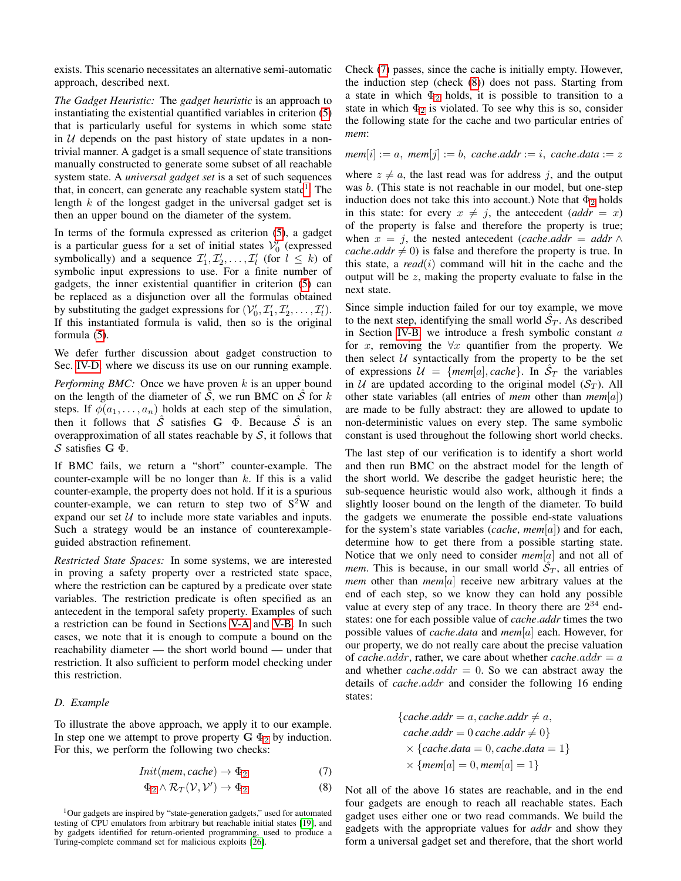exists. This scenario necessitates an alternative semi-automatic approach, described next.

*The Gadget Heuristic:* The *gadget heuristic* is an approach to instantiating the existential quantified variables in criterion [\(5\)](#page-3-0) that is particularly useful for systems in which some state in  $U$  depends on the past history of state updates in a nontrivial manner. A gadget is a small sequence of state transitions manually constructed to generate some subset of all reachable system state. A *universal gadget set* is a set of such sequences that, in concert, can generate any reachable system state<sup>[1](#page-4-0)</sup>. The length k of the longest gadget in the universal gadget set is then an upper bound on the diameter of the system.

In terms of the formula expressed as criterion [\(5\)](#page-3-0), a gadget is a particular guess for a set of initial states  $\mathcal{V}'_0$  (expressed symbolically) and a sequence  $\mathcal{I}'_1, \mathcal{I}'_2, \ldots, \mathcal{I}'_l$  (for  $l \leq k$ ) of symbolic input expressions to use. For a finite number of gadgets, the inner existential quantifier in criterion [\(5\)](#page-3-0) can be replaced as a disjunction over all the formulas obtained by substituting the gadget expressions for  $(\mathcal{V}'_0, \mathcal{I}'_1, \mathcal{I}'_2, \dots, \mathcal{I}'_l)$ . If this instantiated formula is valid, then so is the original formula [\(5\)](#page-3-0).

We defer further discussion about gadget construction to Sec. [IV-D,](#page-4-1) where we discuss its use on our running example.

*Performing BMC:* Once we have proven k is an upper bound on the length of the diameter of  $\hat{S}$ , we run BMC on  $\hat{S}$  for k steps. If  $\phi(a_1, \ldots, a_n)$  holds at each step of the simulation, then it follows that  $\hat{S}$  satisfies G  $\Phi$ . Because  $\hat{S}$  is an overapproximation of all states reachable by  $S$ , it follows that S satisfies  $G \Phi$ .

If BMC fails, we return a "short" counter-example. The counter-example will be no longer than  $k$ . If this is a valid counter-example, the property does not hold. If it is a spurious counter-example, we can return to step two of  $S^2W$  and expand our set  $U$  to include more state variables and inputs. Such a strategy would be an instance of counterexampleguided abstraction refinement.

*Restricted State Spaces:* In some systems, we are interested in proving a safety property over a restricted state space, where the restriction can be captured by a predicate over state variables. The restriction predicate is often specified as an antecedent in the temporal safety property. Examples of such a restriction can be found in Sections [V-A](#page-5-0) and [V-B.](#page-6-0) In such cases, we note that it is enough to compute a bound on the reachability diameter — the short world bound — under that restriction. It also sufficient to perform model checking under this restriction.

#### <span id="page-4-1"></span>*D. Example*

To illustrate the above approach, we apply it to our example. In step one we attempt to prove property  $G \Phi_2$  $G \Phi_2$  by induction. For this, we perform the following two checks:

$$
Init(mem, cache) \to \Phi_2 \tag{7}
$$

$$
\Phi_2 \wedge \mathcal{R}_T(\mathcal{V}, \mathcal{V}') \to \Phi_2 \tag{8}
$$

<span id="page-4-0"></span><sup>1</sup>Our gadgets are inspired by "state-generation gadgets," used for automated testing of CPU emulators from arbitrary but reachable initial states [\[19\]](#page-9-3), and by gadgets identified for return-oriented programming, used to produce a Turing-complete command set for malicious exploits [\[26\]](#page-9-17).

Check [\(7\)](#page-4-2) passes, since the cache is initially empty. However, the induction step (check [\(8\)](#page-4-3)) does not pass. Starting from a state in which  $\Phi_2$  $\Phi_2$  holds, it is possible to transition to a state in which  $\Phi_2$  $\Phi_2$  is violated. To see why this is so, consider the following state for the cache and two particular entries of *mem*:

 $mem[i] := a$ ,  $mem[j] := b$ ,  $cache.addr := i$ ,  $cache.data := z$ 

where  $z \neq a$ , the last read was for address j, and the output was b. (This state is not reachable in our model, but one-step induction does not take this into account.) Note that  $\Phi_2$  $\Phi_2$  holds in this state: for every  $x \neq j$ , the antecedent (*addr* = x) of the property is false and therefore the property is true; when  $x = j$ , the nested antecedent (*cache.addr* = *addr*  $\wedge$ *cache.addr*  $\neq$  0) is false and therefore the property is true. In this state, a  $read(i)$  command will hit in the cache and the output will be  $z$ , making the property evaluate to false in the next state.

Since simple induction failed for our toy example, we move to the next step, identifying the small world  $\hat{S}_T$ . As described in Section [IV-B,](#page-2-3) we introduce a fresh symbolic constant  $a$ for x, removing the  $\forall x$  quantifier from the property. We then select  $U$  syntactically from the property to be the set of expressions  $\mathcal{U} = \{mem[a], cache\}$ . In  $\mathcal{S}_T$  the variables in U are updated according to the original model  $(S_T)$ . All other state variables (all entries of *mem* other than *mem*[a]) are made to be fully abstract: they are allowed to update to non-deterministic values on every step. The same symbolic constant is used throughout the following short world checks.

The last step of our verification is to identify a short world and then run BMC on the abstract model for the length of the short world. We describe the gadget heuristic here; the sub-sequence heuristic would also work, although it finds a slightly looser bound on the length of the diameter. To build the gadgets we enumerate the possible end-state valuations for the system's state variables (*cache*, *mem*[a]) and for each, determine how to get there from a possible starting state. Notice that we only need to consider *mem*[a] and not all of *mem*. This is because, in our small world  $\hat{S}_T$ , all entries of *mem* other than *mem*[a] receive new arbitrary values at the end of each step, so we know they can hold any possible value at every step of any trace. In theory there are  $2^{34}$  endstates: one for each possible value of *cache*.*addr* times the two possible values of *cache*.*data* and *mem*[a] each. However, for our property, we do not really care about the precise valuation of *cache.addr*, rather, we care about whether *cache.addr*  $= a$ and whether *cache*. $addr = 0$ . So we can abstract away the details of *cache*.addr and consider the following 16 ending states:

$$
{\begin{aligned}\n\{cache.addr = a, cache.addr \neq a, \\
cache.addr = 0 cache.addr \neq 0\} \\
&\times {\begin{aligned}\n\{cache.data = 0, cache.data = 1\} \\
&\times \{mem[a] = 0, mem[a] = 1\}\n\end{aligned}\n\end{aligned}}
$$

<span id="page-4-3"></span><span id="page-4-2"></span>Not all of the above 16 states are reachable, and in the end four gadgets are enough to reach all reachable states. Each gadget uses either one or two read commands. We build the gadgets with the appropriate values for *addr* and show they form a universal gadget set and therefore, that the short world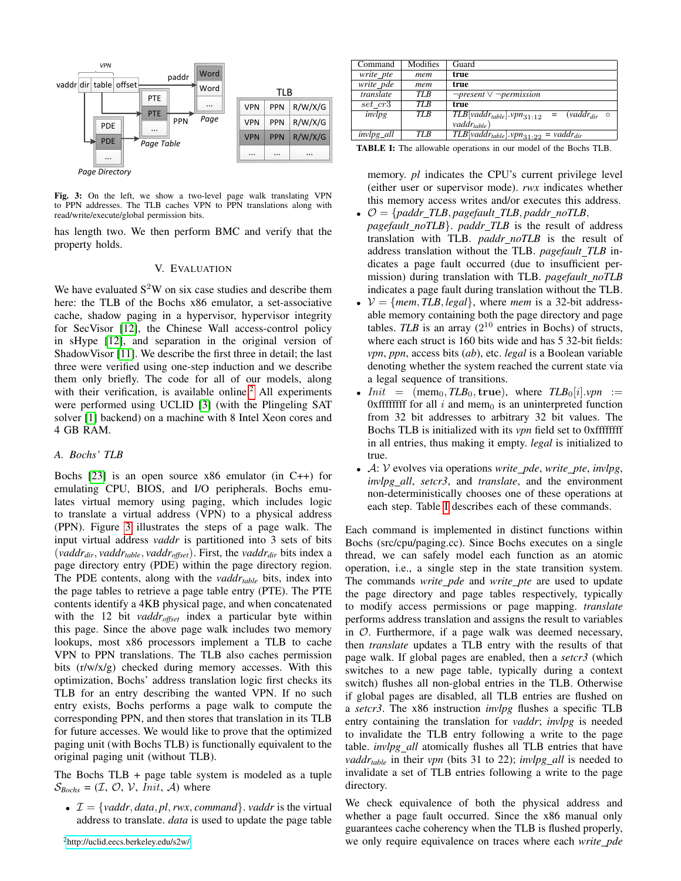<span id="page-5-2"></span>

Fig. 3: On the left, we show a two-level page walk translating VPN to PPN addresses. The TLB caches VPN to PPN translations along with read/write/execute/global permission bits.

has length two. We then perform BMC and verify that the property holds.

#### V. EVALUATION

We have evaluated  $S^2W$  on six case studies and describe them here: the TLB of the Bochs x86 emulator, a set-associative cache, shadow paging in a hypervisor, hypervisor integrity for SecVisor [\[12\]](#page-9-7), the Chinese Wall access-control policy in sHype [\[12\]](#page-9-7), and separation in the original version of ShadowVisor [\[11\]](#page-9-6). We describe the first three in detail; the last three were verified using one-step induction and we describe them only briefly. The code for all of our models, along with their verification, is available online.<sup>[2](#page-5-1)</sup> All experiments were performed using UCLID [\[3\]](#page-9-18) (with the Plingeling SAT solver [\[1\]](#page-9-19) backend) on a machine with 8 Intel Xeon cores and 4 GB RAM.

#### <span id="page-5-0"></span>*A. Bochs' TLB*

Bochs [\[23\]](#page-9-13) is an open source x86 emulator (in C++) for emulating CPU, BIOS, and I/O peripherals. Bochs emulates virtual memory using paging, which includes logic to translate a virtual address (VPN) to a physical address (PPN). Figure [3](#page-5-2) illustrates the steps of a page walk. The input virtual address *vaddr* is partitioned into 3 sets of bits (*vaddrdir*, *vaddrtable*, *vaddroffset*). First, the *vaddrdir* bits index a page directory entry (PDE) within the page directory region. The PDE contents, along with the *vaddrtable* bits, index into the page tables to retrieve a page table entry (PTE). The PTE contents identify a 4KB physical page, and when concatenated with the 12 bit *vaddroffset* index a particular byte within this page. Since the above page walk includes two memory lookups, most x86 processors implement a TLB to cache VPN to PPN translations. The TLB also caches permission bits (r/w/x/g) checked during memory accesses. With this optimization, Bochs' address translation logic first checks its TLB for an entry describing the wanted VPN. If no such entry exists, Bochs performs a page walk to compute the corresponding PPN, and then stores that translation in its TLB for future accesses. We would like to prove that the optimized paging unit (with Bochs TLB) is functionally equivalent to the original paging unit (without TLB).

The Bochs  $TLB + page$  table system is modeled as a tuple  $S_{Bochs} = (\mathcal{I}, \mathcal{O}, \mathcal{V}, Init, \mathcal{A})$  where

<span id="page-5-1"></span>•  $\mathcal{I} = \{vaddr, data, pl, rwx, command\}$ . *vaddr* is the virtual address to translate. *data* is used to update the page table

<span id="page-5-3"></span>

| Command           | Modifies        | Guard                                                                                                   |
|-------------------|-----------------|---------------------------------------------------------------------------------------------------------|
| write_pte         | mem             | true                                                                                                    |
| write_pde         | mem             | true                                                                                                    |
| translate         | <b>TLB</b>      | $\neg present \vee \neg permission$                                                                     |
| set cr3           | TL <sub>B</sub> | true                                                                                                    |
| invlpg            | <b>TLB</b>      | $\overline{TLB}$ vaddr <sub>table</sub> ].vpn <sub>31:12</sub><br>$(vaddr_{dir} \circ$<br>$\alpha = -1$ |
|                   |                 | $vaddr_{table})$                                                                                        |
| <i>invlpg_all</i> | TLB             | $\overline{TLB}[vaddr_{table}].vpn_{31:22} = vaddr_{dir}$                                               |

TABLE I: The allowable operations in our model of the Bochs TLB.

memory. *pl* indicates the CPU's current privilege level (either user or supervisor mode). *rwx* indicates whether this memory access writes and/or executes this address.

- $\bullet$   $\mathcal{O} = \{paddr\_TLB, pagefault\_TLB, paddr\_noTLB,$ *pagefault noTLB*}. *paddr TLB* is the result of address translation with TLB. *paddr noTLB* is the result of address translation without the TLB. *pagefault TLB* indicates a page fault occurred (due to insufficient permission) during translation with TLB. *pagefault noTLB* indicates a page fault during translation without the TLB.
- $V = \{mem, TLB, legal\}$ , where *mem* is a 32-bit addressable memory containing both the page directory and page tables. *TLB* is an array  $(2^{10}$  entries in Bochs) of structs, where each struct is 160 bits wide and has 5 32-bit fields: *vpn*, *ppn*, access bits (*ab*), etc. *legal* is a Boolean variable denoting whether the system reached the current state via a legal sequence of transitions.
- $Init = (mem_0, TLB_0, true), where TLB_0[i].vpn :=$ 0xfffffffff for all  $i$  and mem<sub>0</sub> is an uninterpreted function from 32 bit addresses to arbitrary 32 bit values. The Bochs TLB is initialized with its *vpn* field set to 0xffffffff in all entries, thus making it empty. *legal* is initialized to true.
- A: V evolves via operations *write pde*, *write pte*, *invlpg*, *invlpg all*, *setcr3*, and *translate*, and the environment non-deterministically chooses one of these operations at each step. Table [I](#page-5-3) describes each of these commands.

Each command is implemented in distinct functions within Bochs (src/cpu/paging.cc). Since Bochs executes on a single thread, we can safely model each function as an atomic operation, i.e., a single step in the state transition system. The commands *write\_pde* and *write\_pte* are used to update the page directory and page tables respectively, typically to modify access permissions or page mapping. *translate* performs address translation and assigns the result to variables in O. Furthermore, if a page walk was deemed necessary, then *translate* updates a TLB entry with the results of that page walk. If global pages are enabled, then a *setcr3* (which switches to a new page table, typically during a context switch) flushes all non-global entries in the TLB. Otherwise if global pages are disabled, all TLB entries are flushed on a *setcr3*. The x86 instruction *invlpg* flushes a specific TLB entry containing the translation for *vaddr*; *invlpg* is needed to invalidate the TLB entry following a write to the page table. *invlpg\_all* atomically flushes all TLB entries that have *vaddr<sub>table</sub>* in their *vpn* (bits 31 to 22); *invlpg all* is needed to invalidate a set of TLB entries following a write to the page directory.

We check equivalence of both the physical address and whether a page fault occurred. Since the x86 manual only guarantees cache coherency when the TLB is flushed properly, we only require equivalence on traces where each *write pde*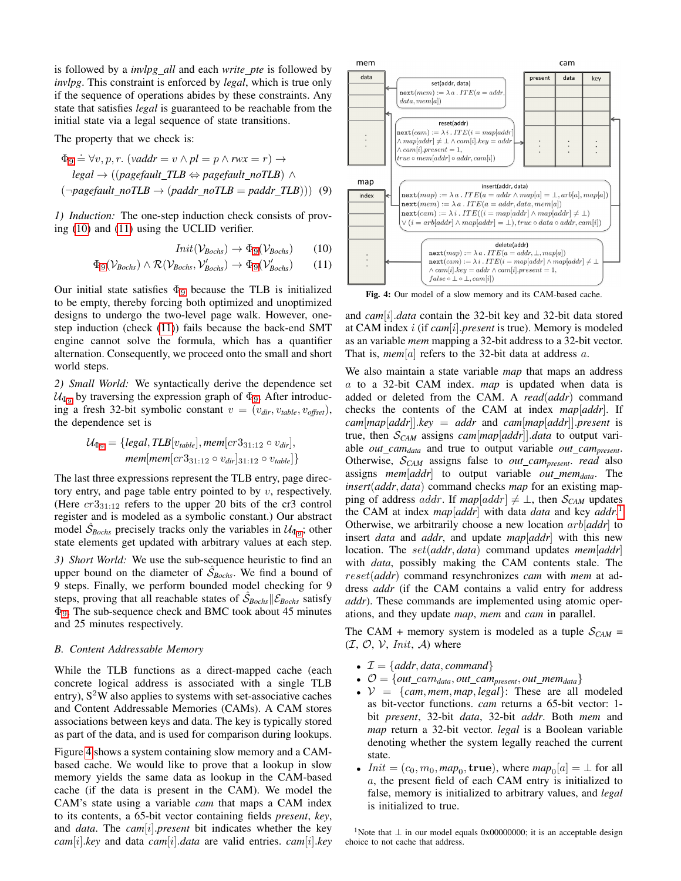is followed by a *invlpg all* and each *write pte* is followed by *invlpg*. This constraint is enforced by *legal*, which is true only if the sequence of operations abides by these constraints. Any state that satisfies *legal* is guaranteed to be reachable from the initial state via a legal sequence of state transitions.

The property that we check is:

$$
\Phi_9 \doteq \forall v, p, r. \ (vaddr = v \land pl = p \land rw = r) \rightarrow
$$
  
\n
$$
legal \rightarrow ((pagefault\_TLB \Leftrightarrow pagefault\_noTLB) \land
$$
  
\n
$$
(\neg pagefault\_noTLB \rightarrow (paddr\_noTLB = paddr\_TLB))) \quad (9)
$$

*1) Induction:* The one-step induction check consists of proving [\(10\)](#page-6-2) and [\(11\)](#page-6-3) using the UCLID verifier.

$$
Init(\mathcal{V}_{Bochs}) \to \Phi_9(\mathcal{V}_{Bochs}) \qquad (10)
$$

$$
\Phi_9(\mathcal{V}_{\text{Bochs}}) \land \mathcal{R}(\mathcal{V}_{\text{Bochs}}, \mathcal{V}_{\text{Bochs}}') \to \Phi_9(\mathcal{V}_{\text{Bochs}}') \tag{11}
$$

Our initial state satisfies  $\Phi_9$  $\Phi_9$  because the TLB is initialized to be empty, thereby forcing both optimized and unoptimized designs to undergo the two-level page walk. However, onestep induction (check [\(11\)](#page-6-3)) fails because the back-end SMT engine cannot solve the formula, which has a quantifier alternation. Consequently, we proceed onto the small and short world steps.

*2) Small World:* We syntactically derive the dependence set  $U_{\Phi_9}$  $U_{\Phi_9}$  $U_{\Phi_9}$  by traversing the expression graph of  $\Phi_9$ . After introducing a fresh 32-bit symbolic constant  $v = (v_{dir}, v_{table}, v_{offset})$ , the dependence set is

$$
\mathcal{U}_{\Phi_9} = \{legal, TLB[v_{table}], mem[cr3_{31:12} \circ v_{dir}],
$$
  
mem[mem[cr3<sub>31:12</sub> \circ v\_{dir}]<sub>31:12</sub> \circ v\_{table}]\}

The last three expressions represent the TLB entry, page directory entry, and page table entry pointed to by  $v$ , respectively. (Here  $cr3_{31:12}$  refers to the upper 20 bits of the cr3 control register and is modeled as a symbolic constant.) Our abstract model  $\hat{S}_{Bochs}$  precisely tracks only the variables in  $\mathcal{U}_{\Phi_9}$  $\mathcal{U}_{\Phi_9}$  $\mathcal{U}_{\Phi_9}$ ; other state elements get updated with arbitrary values at each step.

*3) Short World:* We use the sub-sequence heuristic to find an upper bound on the diameter of  $\hat{S}_{Bochs}$ . We find a bound of 9 steps. Finally, we perform bounded model checking for 9 steps, proving that all reachable states of  $\hat{S}_{Bochs}$   $\mathcal{E}_{Bochs}$  satisfy Φ[9](#page-6-1). The sub-sequence check and BMC took about 45 minutes and 25 minutes respectively.

#### <span id="page-6-0"></span>*B. Content Addressable Memory*

While the TLB functions as a direct-mapped cache (each concrete logical address is associated with a single TLB entry),  $S^2W$  also applies to systems with set-associative caches and Content Addressable Memories (CAMs). A CAM stores associations between keys and data. The key is typically stored as part of the data, and is used for comparison during lookups.

Figure [4](#page-6-4) shows a system containing slow memory and a CAMbased cache. We would like to prove that a lookup in slow memory yields the same data as lookup in the CAM-based cache (if the data is present in the CAM). We model the CAM's state using a variable *cam* that maps a CAM index to its contents, a 65-bit vector containing fields *present*, *key*, and *data*. The *cam*[i].*present* bit indicates whether the key *cam*[i].*key* and data *cam*[i].*data* are valid entries. *cam*[i].*key*

<span id="page-6-4"></span>

<span id="page-6-3"></span><span id="page-6-2"></span><span id="page-6-1"></span>Fig. 4: Our model of a slow memory and its CAM-based cache.

and *cam*[i].*data* contain the 32-bit key and 32-bit data stored at CAM index i (if *cam*[i].*present* is true). Memory is modeled as an variable *mem* mapping a 32-bit address to a 32-bit vector. That is, *mem*[a] refers to the 32-bit data at address  $a$ .

We also maintain a state variable *map* that maps an address a to a 32-bit CAM index. *map* is updated when data is added or deleted from the CAM. A *read*(*addr*) command checks the contents of the CAM at index *map*[*addr*]. If  $cam[map[addr]$ .*key* = *addr* and  $cam[map[addr]$ .*present* is true, then S*CAM* assigns *cam*[*map*[*addr*]].*data* to output variable *out camdata* and true to output variable *out campresent*. Otherwise, S*CAM* assigns false to *out campresent*. *read* also assigns *mem*[*addr*] to output variable *out memdata*. The *insert*(*addr*, *data*) command checks *map* for an existing mapping of address *addr*. If  $map[addr] \neq \bot$ , then  $S_{CAM}$  updates the CAM at index *map*[*addr*] with data *data* and key *addr*. [1](#page-6-5) Otherwise, we arbitrarily choose a new location arb[*addr*] to insert *data* and *addr*, and update *map*[*addr*] with this new location. The set(*addr*, *data*) command updates *mem*[*addr*] with *data*, possibly making the CAM contents stale. The reset(*addr*) command resynchronizes *cam* with *mem* at address *addr* (if the CAM contains a valid entry for address *addr*). These commands are implemented using atomic operations, and they update *map*, *mem* and *cam* in parallel.

The CAM + memory system is modeled as a tuple  $S_{CAM}$  =  $(\mathcal{I}, \mathcal{O}, \mathcal{V}, Init, \mathcal{A})$  where

- $\mathcal{I} = \{addr, data, command\}$
- $\mathcal{O} = \{out\_cam_{data}, out\_cam_{present}, out\_mem_{data}\}$
- $V = \{cam, mem, map, legal\}$ : These are all modeled as bit-vector functions. *cam* returns a 65-bit vector: 1 bit *present*, 32-bit *data*, 32-bit *addr*. Both *mem* and *map* return a 32-bit vector. *legal* is a Boolean variable denoting whether the system legally reached the current state.
- $Init = (c_0, m_0, map_0, \text{true})$ , where  $map_0[a] = \perp$  for all a, the present field of each CAM entry is initialized to false, memory is initialized to arbitrary values, and *legal* is initialized to true.

<span id="page-6-5"></span><sup>1</sup>Note that  $\perp$  in our model equals 0x00000000; it is an acceptable design choice to not cache that address.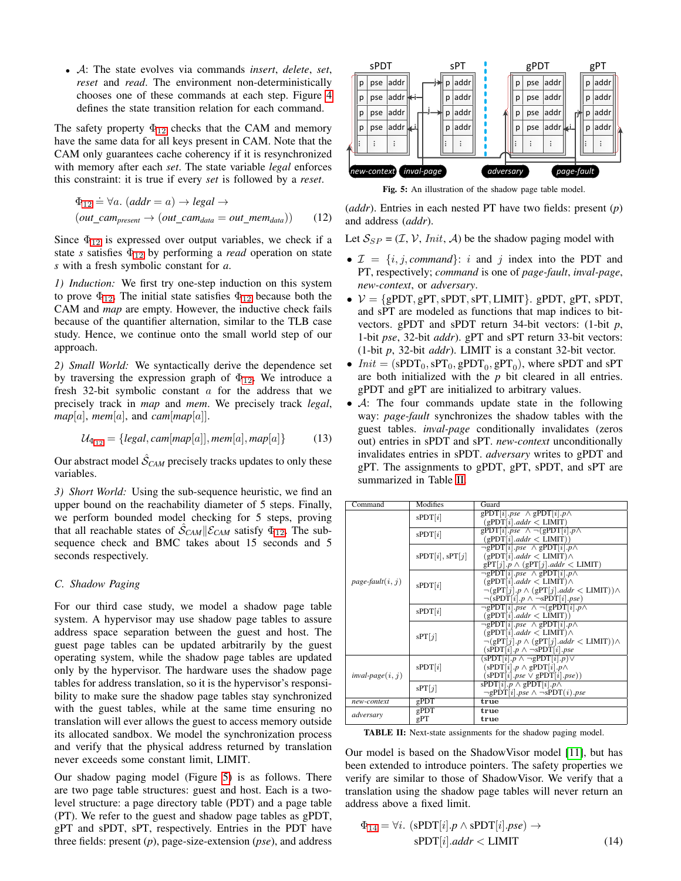• A: The state evolves via commands *insert*, *delete*, *set*, *reset* and *read*. The environment non-deterministically chooses one of these commands at each step. Figure [4](#page-6-4) defines the state transition relation for each command.

The safety property  $\Phi_{12}$  $\Phi_{12}$  $\Phi_{12}$  checks that the CAM and memory have the same data for all keys present in CAM. Note that the CAM only guarantees cache coherency if it is resynchronized with memory after each *set*. The state variable *legal* enforces this constraint: it is true if every *set* is followed by a *reset*.

$$
\Phi_{12} \doteq \forall a. (addr = a) \rightarrow legal \rightarrow
$$
  
(out\\_cam\_{present} \rightarrow (out\\_cam\_{data} = out\\_mem\_{data})) (12)

Since  $\Phi_{12}$  $\Phi_{12}$  $\Phi_{12}$  is expressed over output variables, we check if a state *s* satisfies  $\Phi_{12}$  $\Phi_{12}$  $\Phi_{12}$  by performing a *read* operation on state *s* with a fresh symbolic constant for *a*.

*1) Induction:* We first try one-step induction on this system to prove  $\Phi_{12}$  $\Phi_{12}$  $\Phi_{12}$ . The initial state satisfies  $\Phi_{12}$  because both the CAM and *map* are empty. However, the inductive check fails because of the quantifier alternation, similar to the TLB case study. Hence, we continue onto the small world step of our approach.

*2) Small World:* We syntactically derive the dependence set by traversing the expression graph of  $\Phi_{12}$  $\Phi_{12}$  $\Phi_{12}$ . We introduce a fresh 32-bit symbolic constant a for the address that we precisely track in *map* and *mem*. We precisely track *legal*,  $map[a]$ , *mem*[a], and *cam*[*map*[a]].

$$
\mathcal{U}_{\Phi_{12}} = \{legal, cam[map[a]], mem[a], map[a]\} \tag{13}
$$

Our abstract model  $\hat{\mathcal{S}}_{CAM}$  precisely tracks updates to only these variables.

*3) Short World:* Using the sub-sequence heuristic, we find an upper bound on the reachability diameter of 5 steps. Finally, we perform bounded model checking for 5 steps, proving that all reachable states of  $\hat{S}_{CAM}||\mathcal{E}_{CAM}$  satisfy  $\Phi_{12}$  $\Phi_{12}$  $\Phi_{12}$ . The subsequence check and BMC takes about 15 seconds and 5 seconds respectively.

#### *C. Shadow Paging*

For our third case study, we model a shadow page table system. A hypervisor may use shadow page tables to assure address space separation between the guest and host. The guest page tables can be updated arbitrarily by the guest operating system, while the shadow page tables are updated only by the hypervisor. The hardware uses the shadow page tables for address translation, so it is the hypervisor's responsibility to make sure the shadow page tables stay synchronized with the guest tables, while at the same time ensuring no translation will ever allows the guest to access memory outside its allocated sandbox. We model the synchronization process and verify that the physical address returned by translation never exceeds some constant limit, LIMIT.

Our shadow paging model (Figure [5\)](#page-7-1) is as follows. There are two page table structures: guest and host. Each is a twolevel structure: a page directory table (PDT) and a page table (PT). We refer to the guest and shadow page tables as gPDT, gPT and sPDT, sPT, respectively. Entries in the PDT have three fields: present (*p*), page-size-extension (*pse*), and address

<span id="page-7-1"></span>

Fig. 5: An illustration of the shadow page table model.

<span id="page-7-0"></span>(*addr*). Entries in each nested PT have two fields: present (*p*) and address (*addr*).

Let  $S_{SP} = (\mathcal{I}, \mathcal{V}, \text{Init}, \mathcal{A})$  be the shadow paging model with

- $\mathcal{I} = \{i, j, command\}$ : *i* and *j* index into the PDT and PT, respectively; *command* is one of *page-fault*, *inval-page*, *new-context*, or *adversary*.
- $V = \{gPDT, gPT, sPDT, sPT, LIMIT\}$ . gPDT, gPT, sPDT, and sPT are modeled as functions that map indices to bitvectors. gPDT and sPDT return 34-bit vectors: (1-bit *p*, 1-bit *pse*, 32-bit *addr*). gPT and sPT return 33-bit vectors: (1-bit *p*, 32-bit *addr*). LIMIT is a constant 32-bit vector.
- $Init = (sPDT_0, sPT_0, gPDT_0, gPT_0)$ , where sPDT and sPT are both initialized with the *p* bit cleared in all entries. gPDT and gPT are initialized to arbitrary values.
- A: The four commands update state in the following way: *page-fault* synchronizes the shadow tables with the guest tables. *inval-page* conditionally invalidates (zeros out) entries in sPDT and sPT. *new-context* unconditionally invalidates entries in sPDT. *adversary* writes to gPDT and gPT. The assignments to gPDT, gPT, sPDT, and sPT are summarized in Table [II.](#page-7-2)

<span id="page-7-2"></span>

| Command                | Modifies        | Guard                                                                      |
|------------------------|-----------------|----------------------------------------------------------------------------|
| $page$ -fault $(i, j)$ | sPDT[i]         | gPDT[i] $pse \wedge gPDT[i]$ $p \wedge$                                    |
|                        |                 | (gPDT[i].addr < LIMIT)                                                     |
|                        | sPDT[i]         | $gPDT[i].pse \wedge \neg (gPDT[i].p \wedge$                                |
|                        |                 | (gPDT[i].addr < LIMIT))                                                    |
|                        | sPDT[i], sPT[j] | $\neg gPDT[i].pse \wedge gPDT[i].p \wedge$                                 |
|                        |                 | $(gPDT[i].addr < LIMIT) \wedge$                                            |
|                        |                 | $gPT[j]$ $p \wedge (gPT[j].addr < LIMIT)$                                  |
|                        | sPDT[i]         | $\neg gPDT[i].pse \wedge gPDT[i].p \wedge$                                 |
|                        |                 | $(gPDT[i].addr < LIMIT) \wedge$                                            |
|                        |                 | $\neg(\text{gPT}[j].p \land (\text{gPT}[j].addr < \text{LIMIT})) \land$    |
|                        |                 | $\neg(sPDT[i], p \land \neg sPDT[i], pse)$                                 |
|                        | sPDT[i]         | $\neg gPDT[i].pse \wedge \neg (gPDT[i].p \wedge$                           |
|                        |                 | (gPDT[i].addr < LIMIT))                                                    |
|                        | SPT[j]          | $\neg gPDT[i].pse \wedge gPDT[i].p \wedge$                                 |
|                        |                 | $(gPDT[i].addr < LIMIT) \wedge$                                            |
|                        |                 | $\neg(\text{gPT}[j], p \wedge (\text{gPT}[j].addr < \text{LIMIT})) \wedge$ |
|                        |                 | $(sPDT[i].p \wedge \neg sPDT[i].pse$                                       |
|                        | sPDT[i]         | $(sPDT[i].p \wedge \neg gPDT[i].p) \vee$                                   |
|                        |                 | $(sPDT[i].p \wedge gPDT[i].p \wedge$                                       |
| inval-page $(i, j)$    |                 | $(sPDT[i].pse \vee gPDT[i].pse))$                                          |
|                        | SPT[j]          | sPDT $ i  p \wedge g$ PDT $ i  p \wedge$                                   |
|                        |                 | $\neg gPDT[i].pse \wedge \neg sPDT(i).pse$                                 |
| new-context            | gPDT            | true                                                                       |
| adversary              | gPDT            | true                                                                       |
|                        | gPT             | true                                                                       |

TABLE II: Next-state assignments for the shadow paging model.

Our model is based on the ShadowVisor model [\[11\]](#page-9-6), but has been extended to introduce pointers. The safety properties we verify are similar to those of ShadowVisor. We verify that a translation using the shadow page tables will never return an address above a fixed limit.

<span id="page-7-3"></span>
$$
\Phi_{14} = \forall i. \ (sPDT[i].p \land sPDT[i].pse) \rightarrow
$$

$$
sPDT[i].addr < LIMIT \tag{14}
$$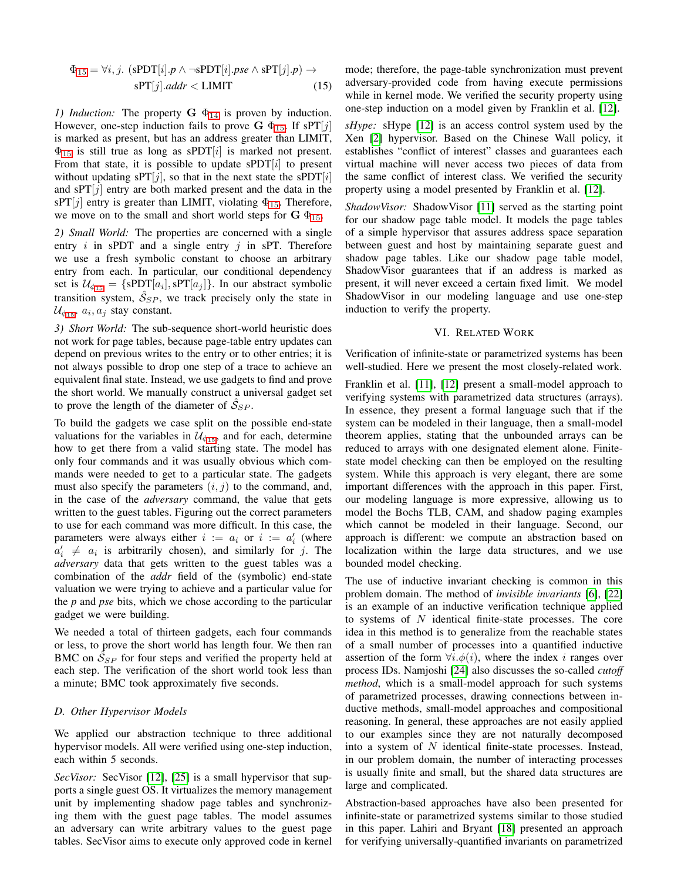$$
\Phi_{15} = \forall i, j. \ (sPDT[i].p \land \neg sPDT[i].pse \land sPT[j].p) \rightarrow
$$

$$
sPT[j].addr < LIMIT \tag{15}
$$

*1) Induction:* The property  $G \Phi_{14}$  $G \Phi_{14}$  $G \Phi_{14}$  is proven by induction. However, one-step induction fails to prove  $G \Phi_{15}$  $G \Phi_{15}$  $G \Phi_{15}$ . If sPT[j] is marked as present, but has an address greater than LIMIT,  $\Phi_{15}$  $\Phi_{15}$  $\Phi_{15}$  is still true as long as sPDT[i] is marked not present. From that state, it is possible to update sPDT $[i]$  to present without updating sPT[j], so that in the next state the sPDT[i] and  $\sqrt{ST[j]}$  entry are both marked present and the data in the sPT[j] entry is greater than LIMIT, violating  $\Phi_{15}$  $\Phi_{15}$  $\Phi_{15}$ . Therefore, we move on to the small and short world steps for  $G \Phi_{15}$  $G \Phi_{15}$  $G \Phi_{15}$ .

*2) Small World:* The properties are concerned with a single entry i in sPDT and a single entry  $i$  in sPT. Therefore we use a fresh symbolic constant to choose an arbitrary entry from each. In particular, our conditional dependency set is  $\mathcal{U}_{\phi_{15}} = \{ \text{sPDT}[a_i], \text{sPT}[a_j] \}.$  $\mathcal{U}_{\phi_{15}} = \{ \text{sPDT}[a_i], \text{sPT}[a_j] \}.$  $\mathcal{U}_{\phi_{15}} = \{ \text{sPDT}[a_i], \text{sPT}[a_j] \}.$  In our abstract symbolic transition system,  $\hat{S}_{SP}$ , we track precisely only the state in  $\mathcal{U}_{\phi_{15}}$  $\mathcal{U}_{\phi_{15}}$  $\mathcal{U}_{\phi_{15}}$ .  $a_i, a_j$  stay constant.

*3) Short World:* The sub-sequence short-world heuristic does not work for page tables, because page-table entry updates can depend on previous writes to the entry or to other entries; it is not always possible to drop one step of a trace to achieve an equivalent final state. Instead, we use gadgets to find and prove the short world. We manually construct a universal gadget set to prove the length of the diameter of  $\hat{\mathcal{S}}_{SP}$ .

To build the gadgets we case split on the possible end-state valuations for the variables in  $\mathcal{U}_{\phi_{15}}$  $\mathcal{U}_{\phi_{15}}$  $\mathcal{U}_{\phi_{15}}$ , and for each, determine how to get there from a valid starting state. The model has only four commands and it was usually obvious which commands were needed to get to a particular state. The gadgets must also specify the parameters  $(i, j)$  to the command, and, in the case of the *adversary* command, the value that gets written to the guest tables. Figuring out the correct parameters to use for each command was more difficult. In this case, the parameters were always either  $i := a_i$  or  $i := a'_i$  (where  $a'_i \neq a_i$  is arbitrarily chosen), and similarly for j. The *adversary* data that gets written to the guest tables was a combination of the *addr* field of the (symbolic) end-state valuation we were trying to achieve and a particular value for the *p* and *pse* bits, which we chose according to the particular gadget we were building.

We needed a total of thirteen gadgets, each four commands or less, to prove the short world has length four. We then ran BMC on  $\hat{S}_{SP}$  for four steps and verified the property held at each step. The verification of the short world took less than a minute; BMC took approximately five seconds.

## *D. Other Hypervisor Models*

We applied our abstraction technique to three additional hypervisor models. All were verified using one-step induction, each within 5 seconds.

*SecVisor:* SecVisor [\[12\]](#page-9-7), [\[25\]](#page-9-20) is a small hypervisor that supports a single guest OS. It virtualizes the memory management unit by implementing shadow page tables and synchronizing them with the guest page tables. The model assumes an adversary can write arbitrary values to the guest page tables. SecVisor aims to execute only approved code in kernel

<span id="page-8-1"></span>mode; therefore, the page-table synchronization must prevent adversary-provided code from having execute permissions while in kernel mode. We verified the security property using one-step induction on a model given by Franklin et al. [\[12\]](#page-9-7).

*sHype:* sHype [\[12\]](#page-9-7) is an access control system used by the Xen [\[2\]](#page-9-21) hypervisor. Based on the Chinese Wall policy, it establishes "conflict of interest" classes and guarantees each virtual machine will never access two pieces of data from the same conflict of interest class. We verified the security property using a model presented by Franklin et al. [\[12\]](#page-9-7).

*ShadowVisor:* ShadowVisor [\[11\]](#page-9-6) served as the starting point for our shadow page table model. It models the page tables of a simple hypervisor that assures address space separation between guest and host by maintaining separate guest and shadow page tables. Like our shadow page table model, ShadowVisor guarantees that if an address is marked as present, it will never exceed a certain fixed limit. We model ShadowVisor in our modeling language and use one-step induction to verify the property.

#### VI. RELATED WORK

<span id="page-8-0"></span>Verification of infinite-state or parametrized systems has been well-studied. Here we present the most closely-related work.

Franklin et al. [\[11\]](#page-9-6), [\[12\]](#page-9-7) present a small-model approach to verifying systems with parametrized data structures (arrays). In essence, they present a formal language such that if the system can be modeled in their language, then a small-model theorem applies, stating that the unbounded arrays can be reduced to arrays with one designated element alone. Finitestate model checking can then be employed on the resulting system. While this approach is very elegant, there are some important differences with the approach in this paper. First, our modeling language is more expressive, allowing us to model the Bochs TLB, CAM, and shadow paging examples which cannot be modeled in their language. Second, our approach is different: we compute an abstraction based on localization within the large data structures, and we use bounded model checking.

The use of inductive invariant checking is common in this problem domain. The method of *invisible invariants* [\[6\]](#page-9-22), [\[22\]](#page-9-23) is an example of an inductive verification technique applied to systems of N identical finite-state processes. The core idea in this method is to generalize from the reachable states of a small number of processes into a quantified inductive assertion of the form  $\forall i.\phi(i)$ , where the index *i* ranges over process IDs. Namjoshi [\[24\]](#page-9-8) also discusses the so-called *cutoff method*, which is a small-model approach for such systems of parametrized processes, drawing connections between inductive methods, small-model approaches and compositional reasoning. In general, these approaches are not easily applied to our examples since they are not naturally decomposed into a system of  $N$  identical finite-state processes. Instead, in our problem domain, the number of interacting processes is usually finite and small, but the shared data structures are large and complicated.

Abstraction-based approaches have also been presented for infinite-state or parametrized systems similar to those studied in this paper. Lahiri and Bryant [\[18\]](#page-9-11) presented an approach for verifying universally-quantified invariants on parametrized